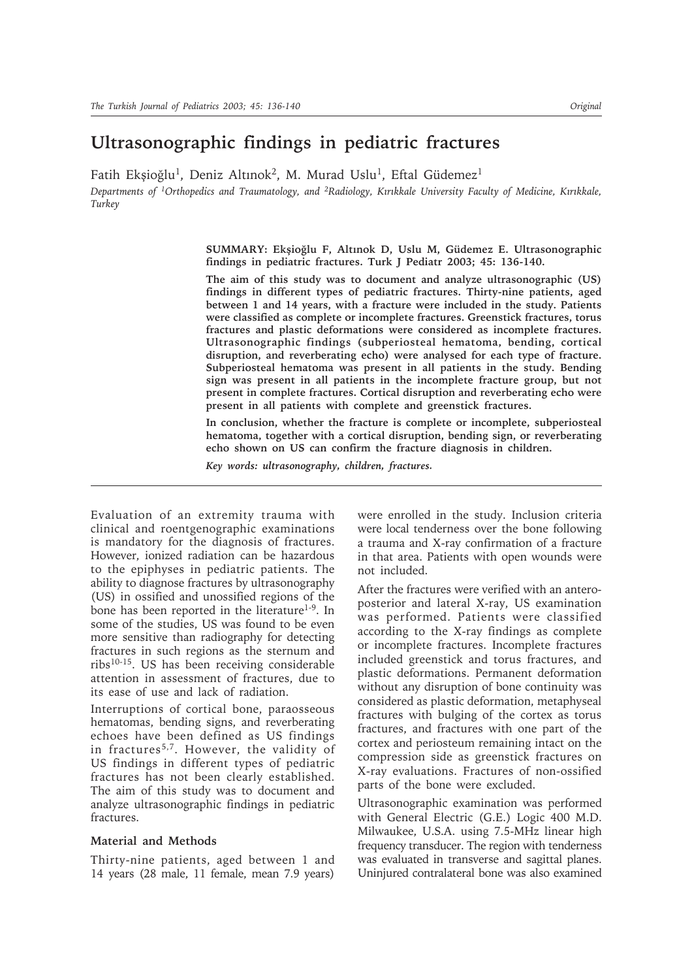# **Ultrasonographic findings in pediatric fractures**

Fatih Ekşioğlu<sup>1</sup>, Deniz Altınok<sup>2</sup>, M. Murad Uslu<sup>1</sup>, Eftal Güdemez<sup>1</sup>

*Departments of <sup>1</sup>Orthopedics and Traumatology, and <sup>2</sup>Radiology, Kırıkkale University Faculty of Medicine, Kırıkkale, Turkey*

> SUMMARY: Ekșioğlu F, Altınok D, Uslu M, Güdemez E. Ultrasonographic **findings in pediatric fractures. Turk J Pediatr 2003; 45: 136-140.**

> **The aim of this study was to document and analyze ultrasonographic (US) findings in different types of pediatric fractures. Thirty-nine patients, aged between 1 and 14 years, with a fracture were included in the study. Patients were classified as complete or incomplete fractures. Greenstick fractures, torus fractures and plastic deformations were considered as incomplete fractures. Ultrasonographic findings (subperiosteal hematoma, bending, cortical disruption, and reverberating echo) were analysed for each type of fracture. Subperiosteal hematoma was present in all patients in the study. Bending sign was present in all patients in the incomplete fracture group, but not present in complete fractures. Cortical disruption and reverberating echo were present in all patients with complete and greenstick fractures.**

> **In conclusion, whether the fracture is complete or incomplete, subperiosteal hematoma, together with a cortical disruption, bending sign, or reverberating echo shown on US can confirm the fracture diagnosis in children.**

*Key words: ultrasonography, children, fractures.*

Evaluation of an extremity trauma with clinical and roentgenographic examinations is mandatory for the diagnosis of fractures. However, ionized radiation can be hazardous to the epiphyses in pediatric patients. The ability to diagnose fractures by ultrasonography (US) in ossified and unossified regions of the bone has been reported in the literature<sup>1-9</sup>. In some of the studies, US was found to be even more sensitive than radiography for detecting fractures in such regions as the sternum and ribs10-15. US has been receiving considerable attention in assessment of fractures, due to its ease of use and lack of radiation.

Interruptions of cortical bone, paraosseous hematomas, bending signs, and reverberating echoes have been defined as US findings in fractures<sup>5,7</sup>. However, the validity of US findings in different types of pediatric fractures has not been clearly established. The aim of this study was to document and analyze ultrasonographic findings in pediatric fractures.

## **Material and Methods**

Thirty-nine patients, aged between 1 and 14 years (28 male, 11 female, mean 7.9 years)

were enrolled in the study. Inclusion criteria were local tenderness over the bone following a trauma and X-ray confirmation of a fracture in that area. Patients with open wounds were not included.

After the fractures were verified with an anteroposterior and lateral X-ray, US examination was performed. Patients were classified according to the X-ray findings as complete or incomplete fractures. Incomplete fractures included greenstick and torus fractures, and plastic deformations. Permanent deformation without any disruption of bone continuity was considered as plastic deformation, metaphyseal fractures with bulging of the cortex as torus fractures, and fractures with one part of the cortex and periosteum remaining intact on the compression side as greenstick fractures on X-ray evaluations. Fractures of non-ossified parts of the bone were excluded.

Ultrasonographic examination was performed with General Electric (G.E.) Logic 400 M.D. Milwaukee, U.S.A. using 7.5-MHz linear high frequency transducer. The region with tenderness was evaluated in transverse and sagittal planes. Uninjured contralateral bone was also examined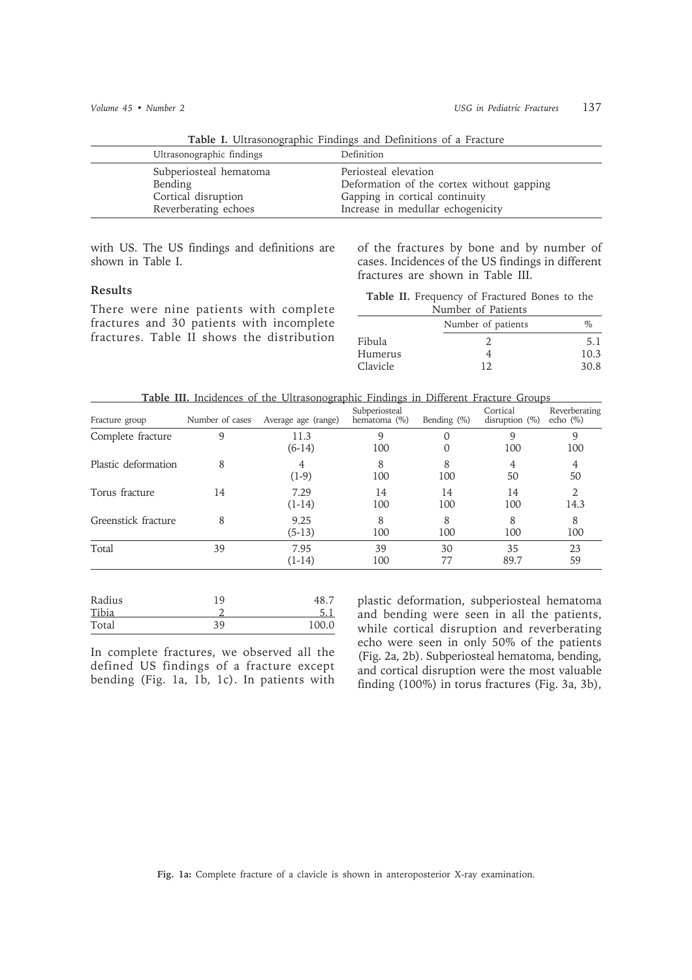| <b>Table 1.</b> Oftrasonographic Findings and Demittions of a Fracture.          |                                                                                                                                          |  |  |
|----------------------------------------------------------------------------------|------------------------------------------------------------------------------------------------------------------------------------------|--|--|
| Ultrasonographic findings                                                        | Definition                                                                                                                               |  |  |
| Subperiosteal hematoma<br>Bending<br>Cortical disruption<br>Reverberating echoes | Periosteal elevation<br>Deformation of the cortex without gapping<br>Gapping in cortical continuity<br>Increase in medullar echogenicity |  |  |

**Table I.** Ultrasonographic Findings and Definitions of a Fracture

with US. The US findings and definitions are shown in Table I.

### **Results**

There were nine patients with complete fractures and 30 patients with incomplete fractures. Table II shows the distribution of the fractures by bone and by number of cases. Incidences of the US findings in different fractures are shown in Table III.

**Table II.** Frequency of Fractured Bones to the

|          | Number of Patients |      |
|----------|--------------------|------|
|          | Number of patients | $\%$ |
| Fibula   | $\mathcal{L}$      | 5.1  |
| Humerus  |                    | 10.3 |
| Clavicle | 12                 | 30.8 |

**Table III.** Incidences of the Ultrasonographic Findings in Different Fracture Groups

| Fracture group      | Number of cases | Average age (range) | Subperiosteal<br>hematoma (%) | Bending $(\%)$ | Cortical<br>disruption $(\%)$ | Reverberating<br>echo $(\%)$ |
|---------------------|-----------------|---------------------|-------------------------------|----------------|-------------------------------|------------------------------|
| Complete fracture   |                 | 11.3<br>$(6-14)$    | 9<br>100                      | 0              | 9<br>100                      | 100                          |
| Plastic deformation | 8               | $(1-9)$             | 8<br>100                      | 8<br>100       | 4<br>50                       | 4<br>50                      |
| Torus fracture      | 14              | 7.29<br>$(1-14)$    | 14<br>100                     | 14<br>100      | 14<br>100                     | $\mathfrak{D}$<br>14.3       |
| Greenstick fracture | 8               | 9.25<br>$(5-13)$    | 8<br>100                      | 8<br>100       | 8<br>100                      | 8<br>100                     |
| Total               | 39              | 7.95<br>$(1-14)$    | 39<br>100                     | 30<br>77       | 35<br>89.7                    | 23<br>59                     |
|                     |                 |                     |                               |                |                               |                              |

| Total  | 39 | 100.0 |
|--------|----|-------|
| Tibia  |    |       |
| Radius | 19 | 48.,  |

In complete fractures, we observed all the defined US findings of a fracture except bending (Fig. 1a, 1b, 1c). In patients with

plastic deformation, subperiosteal hematoma and bending were seen in all the patients, while cortical disruption and reverberating echo were seen in only 50% of the patients (Fig. 2a, 2b). Subperiosteal hematoma, bending, and cortical disruption were the most valuable finding (100%) in torus fractures (Fig. 3a, 3b),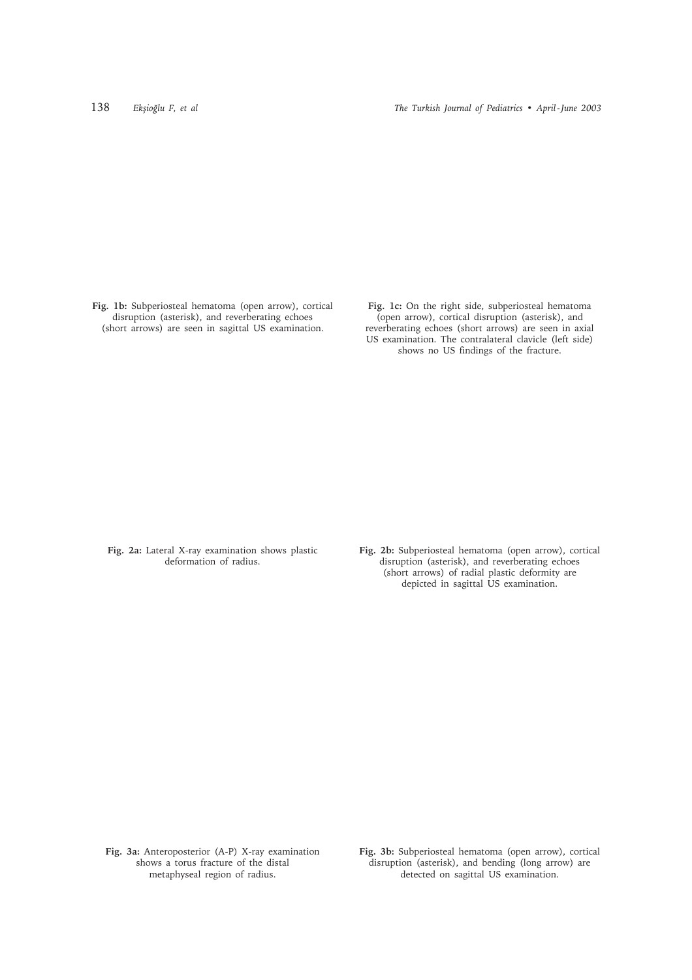**Fig. 1b:** Subperiosteal hematoma (open arrow), cortical disruption (asterisk), and reverberating echoes (short arrows) are seen in sagittal US examination.

**Fig. 1c:** On the right side, subperiosteal hematoma (open arrow), cortical disruption (asterisk), and reverberating echoes (short arrows) are seen in axial US examination. The contralateral clavicle (left side) shows no US findings of the fracture.

**Fig. 2a:** Lateral X-ray examination shows plastic deformation of radius.

**Fig. 2b:** Subperiosteal hematoma (open arrow), cortical disruption (asterisk), and reverberating echoes (short arrows) of radial plastic deformity are depicted in sagittal US examination.

**Fig. 3a:** Anteroposterior (A-P) X-ray examination shows a torus fracture of the distal metaphyseal region of radius.

**Fig. 3b:** Subperiosteal hematoma (open arrow), cortical disruption (asterisk), and bending (long arrow) are detected on sagittal US examination.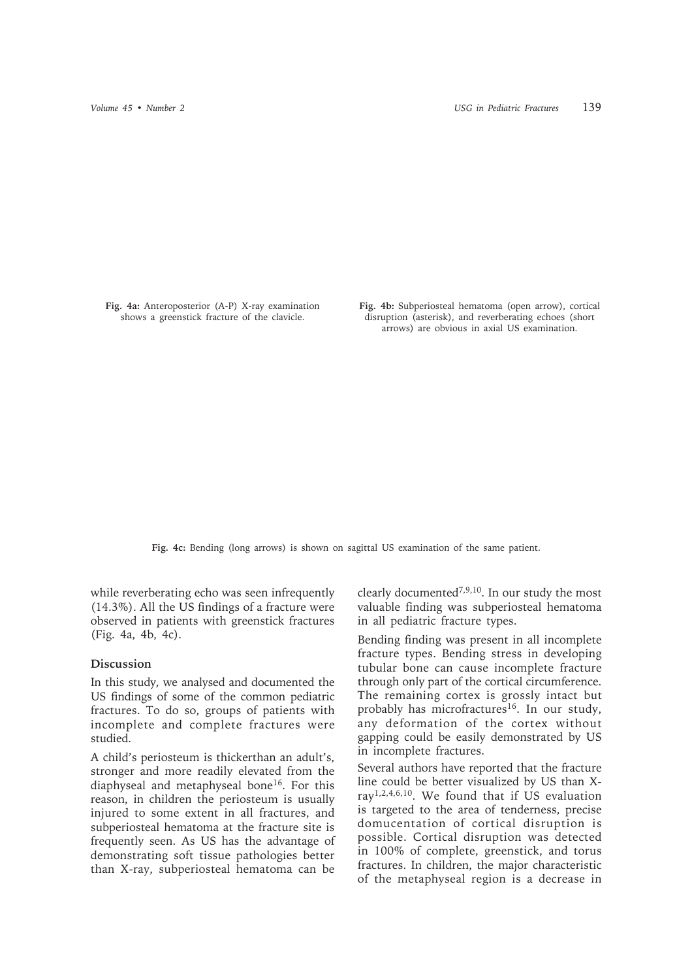**Fig. 4a:** Anteroposterior (A-P) X-ray examination shows a greenstick fracture of the clavicle.

**Fig. 4b:** Subperiosteal hematoma (open arrow), cortical disruption (asterisk), and reverberating echoes (short arrows) are obvious in axial US examination.

**Fig. 4c:** Bending (long arrows) is shown on sagittal US examination of the same patient.

while reverberating echo was seen infrequently (14.3%). All the US findings of a fracture were observed in patients with greenstick fractures (Fig. 4a, 4b, 4c).

#### **Discussion**

In this study, we analysed and documented the US findings of some of the common pediatric fractures. To do so, groups of patients with incomplete and complete fractures were studied.

A child's periosteum is thickerthan an adult's, stronger and more readily elevated from the diaphyseal and metaphyseal bone<sup>16</sup>. For this reason, in children the periosteum is usually injured to some extent in all fractures, and subperiosteal hematoma at the fracture site is frequently seen. As US has the advantage of demonstrating soft tissue pathologies better than X-ray, subperiosteal hematoma can be

clearly documented<sup>7,9,10</sup>. In our study the most valuable finding was subperiosteal hematoma in all pediatric fracture types.

Bending finding was present in all incomplete fracture types. Bending stress in developing tubular bone can cause incomplete fracture through only part of the cortical circumference. The remaining cortex is grossly intact but probably has microfractures<sup>16</sup>. In our study, any deformation of the cortex without gapping could be easily demonstrated by US in incomplete fractures.

Several authors have reported that the fracture line could be better visualized by US than Xray1,2,4,6,10. We found that if US evaluation is targeted to the area of tenderness, precise domucentation of cortical disruption is possible. Cortical disruption was detected in 100% of complete, greenstick, and torus fractures. In children, the major characteristic of the metaphyseal region is a decrease in